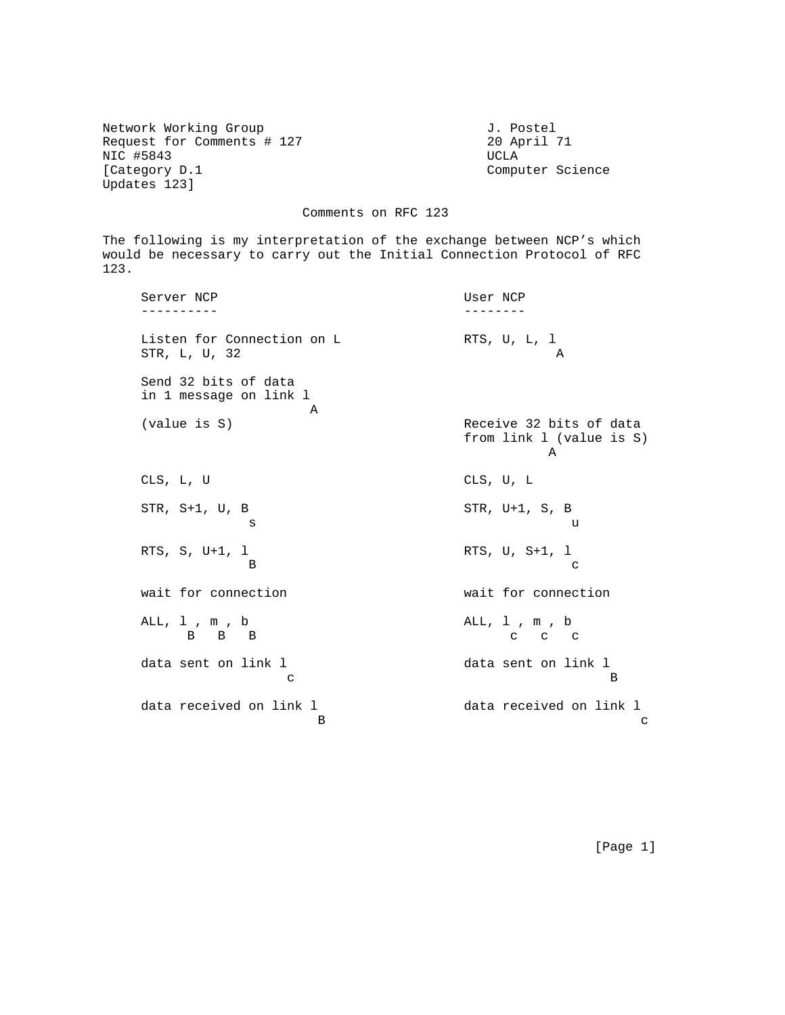Network Working Group and Month J. Postel Request for Comments # 127 20 April 71 NIC #5843 UCLA [Category D.1 Computer Science Updates 123]

## Comments on RFC 123

The following is my interpretation of the exchange between NCP's which would be necessary to carry out the Initial Connection Protocol of RFC 123.

Server NCP User NCP ---------- -------- Listen for Connection on L<br>
RTS, U, L, 1<br>
RTR. L, II, 32<br>
A STR, L, U, 32 Send 32 bits of data in 1 message on link l **A** (value is S) Receive 32 bits of data from link l (value is S) A CLS, L, U CLS, U, L STR, S+1, U, B STR, U+1, S, B s under the set of the set of the set of the set of the set of the set of the set of the set of the set of the RTS, S, U+1, l RTS, U, S+1, l B can be considered by the contract of the contract of the contract of the contract of the contract of the contract of the contract of the contract of the contract of the contract of the contract of the contract of the con wait for connection wait for connection ALL, 1, m, b ALL, 1, m, b ALL, 1, m, b B B B c c c data sent on link l and data sent on link l c B data received on link 1 and data received on link 1 B c and the set of  $\mathbf{B}$ 

[Page 1]